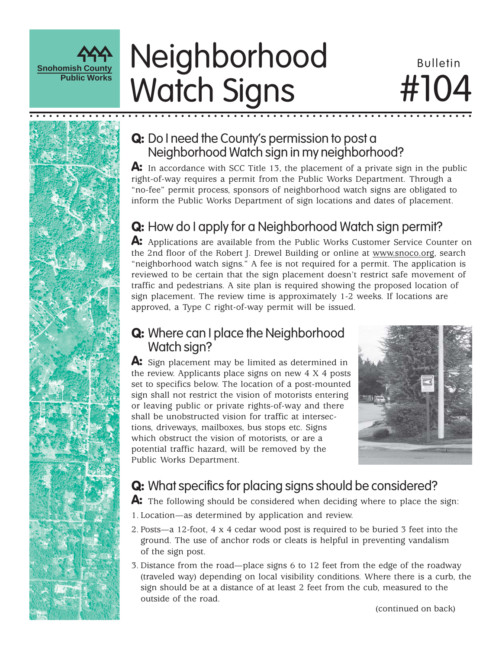

# Neighborhood Bulletin Watch Signs

# #104

#### **Q:** Do I need the County's permission to post a Neighborhood Watch sign in my neighborhood?

○○○○○○○○○○○○○○○○○○○○○○○○○○○○○○○○○○○○○○○○○ ○○○○○○○○○○○○○○○○○○○○○○○○○○○

A: In accordance with SCC Title 13, the placement of a private sign in the public right-of-way requires a permit from the Public Works Department. Through a "no-fee" permit process, sponsors of neighborhood watch signs are obligated to inform the Public Works Department of sign locations and dates of placement.

## Q: How do I apply for a Neighborhood Watch sign permit?

A: Applications are available from the Public Works Customer Service Counter on the 2nd floor of the Robert J. Drewel Building or online at www.snoco.org, search "neighborhood watch signs." A fee is not required for a permit. The application is reviewed to be certain that the sign placement doesn't restrict safe movement of traffic and pedestrians. A site plan is required showing the proposed location of sign placement. The review time is approximately 1-2 weeks. If locations are approved, a Type C right-of-way permit will be issued.

#### **Q:** Where can I place the Neighborhood Watch sign?

A: Sign placement may be limited as determined in the review. Applicants place signs on new 4 X 4 posts set to specifics below. The location of a post-mounted sign shall not restrict the vision of motorists entering or leaving public or private rights-of-way and there shall be unobstructed vision for traffic at intersections, driveways, mailboxes, bus stops etc. Signs which obstruct the vision of motorists, or are a potential traffic hazard, will be removed by the Public Works Department.



#### **Q:** What specifics for placing signs should be considered?

A: The following should be considered when deciding where to place the sign:

- 1. Location—as determined by application and review.
- 2. Posts—a 12-foot, 4 x 4 cedar wood post is required to be buried 3 feet into the ground. The use of anchor rods or cleats is helpful in preventing vandalism of the sign post.
- 3. Distance from the road—place signs 6 to 12 feet from the edge of the roadway (traveled way) depending on local visibility conditions. Where there is a curb, the sign should be at a distance of at least 2 feet from the cub, measured to the outside of the road.